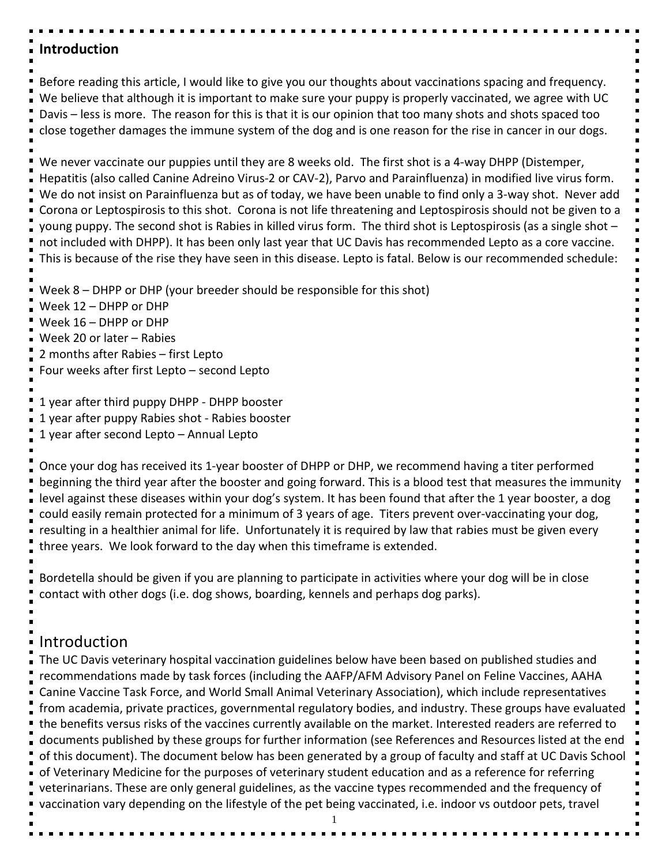# **Introduction**

Before reading this article, I would like to give you our thoughts about vaccinations spacing and frequency. We believe that although it is important to make sure your puppy is properly vaccinated, we agree with UC Davis – less is more. The reason for this is that it is our opinion that too many shots and shots spaced too close together damages the immune system of the dog and is one reason for the rise in cancer in our dogs.

We never vaccinate our puppies until they are 8 weeks old. The first shot is a 4-way DHPP (Distemper, Hepatitis (also called Canine Adreino Virus-2 or CAV-2), Parvo and Parainfluenza) in modified live virus form. We do not insist on Parainfluenza but as of today, we have been unable to find only a 3-way shot. Never add Corona or Leptospirosis to this shot. Corona is not life threatening and Leptospirosis should not be given to a young puppy. The second shot is Rabies in killed virus form. The third shot is Leptospirosis (as a single shot – not included with DHPP). It has been only last year that UC Davis has recommended Lepto as a core vaccine. This is because of the rise they have seen in this disease. Lepto is fatal. Below is our recommended schedule:

Week 8 – DHPP or DHP (your breeder should be responsible for this shot)

Week 12 – DHPP or DHP

Week 16 – DHPP or DHP

Week 20 or later – Rabies

2 months after Rabies – first Lepto

Four weeks after first Lepto – second Lepto

1 year after third puppy DHPP - DHPP booster

1 year after puppy Rabies shot - Rabies booster

1 year after second Lepto – Annual Lepto

Once your dog has received its 1-year booster of DHPP or DHP, we recommend having a titer performed beginning the third year after the booster and going forward. This is a blood test that measures the immunity level against these diseases within your dog's system. It has been found that after the 1 year booster, a dog could easily remain protected for a minimum of 3 years of age. Titers prevent over-vaccinating your dog, resulting in a healthier animal for life. Unfortunately it is required by law that rabies must be given every three years. We look forward to the day when this timeframe is extended.

Bordetella should be given if you are planning to participate in activities where your dog will be in close contact with other dogs (i.e. dog shows, boarding, kennels and perhaps dog parks).

# Introduction

The UC Davis veterinary hospital vaccination guidelines below have been based on published studies and recommendations made by task forces (including the AAFP/AFM Advisory Panel on Feline Vaccines, AAHA Canine Vaccine Task Force, and World Small Animal Veterinary Association), which include representatives from academia, private practices, governmental regulatory bodies, and industry. These groups have evaluated the benefits versus risks of the vaccines currently available on the market. Interested readers are referred to documents published by these groups for further information (see References and Resources listed at the end of this document). The document below has been generated by a group of faculty and staff at UC Davis School of Veterinary Medicine for the purposes of veterinary student education and as a reference for referring veterinarians. These are only general guidelines, as the vaccine types recommended and the frequency of vaccination vary depending on the lifestyle of the pet being vaccinated, i.e. indoor vs outdoor pets, travel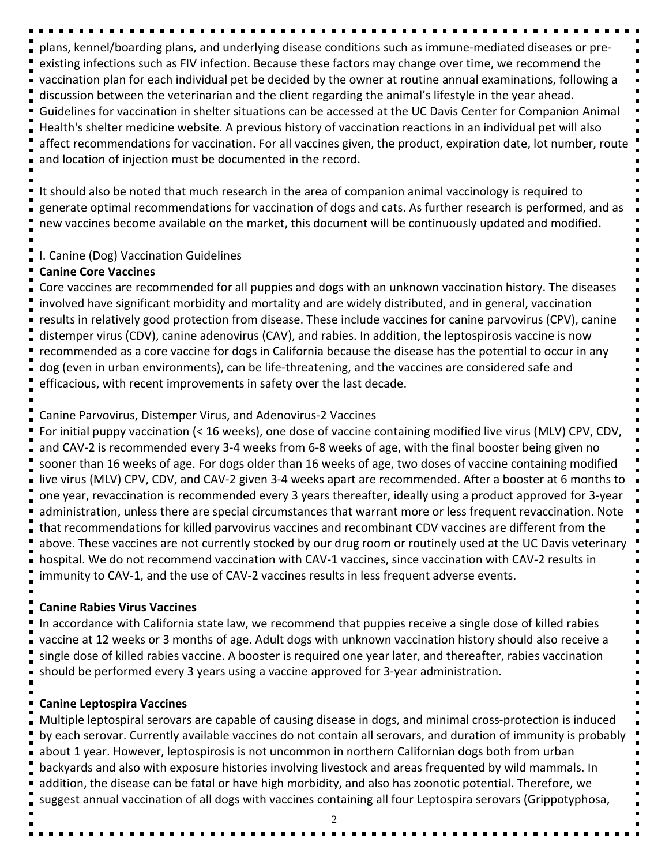plans, kennel/boarding plans, and underlying disease conditions such as immune-mediated diseases or preexisting infections such as FIV infection. Because these factors may change over time, we recommend the vaccination plan for each individual pet be decided by the owner at routine annual examinations, following a discussion between the veterinarian and the client regarding the animal's lifestyle in the year ahead. Guidelines for vaccination in shelter situations can be accessed at the UC Davis Center for Companion Animal Health's shelter medicine website. A previous history of vaccination reactions in an individual pet will also affect recommendations for vaccination. For all vaccines given, the product, expiration date, lot number, route and location of injection must be documented in the record.

It should also be noted that much research in the area of companion animal vaccinology is required to generate optimal recommendations for vaccination of dogs and cats. As further research is performed, and as new vaccines become available on the market, this document will be continuously updated and modified.

### I. Canine (Dog) Vaccination Guidelines

### **Canine Core Vaccines**

Core vaccines are recommended for all puppies and dogs with an unknown vaccination history. The diseases involved have significant morbidity and mortality and are widely distributed, and in general, vaccination results in relatively good protection from disease. These include vaccines for canine parvovirus (CPV), canine distemper virus (CDV), canine adenovirus (CAV), and rabies. In addition, the leptospirosis vaccine is now recommended as a core vaccine for dogs in California because the disease has the potential to occur in any dog (even in urban environments), can be life-threatening, and the vaccines are considered safe and efficacious, with recent improvements in safety over the last decade.

# Canine Parvovirus, Distemper Virus, and Adenovirus-2 Vaccines

For initial puppy vaccination (< 16 weeks), one dose of vaccine containing modified live virus (MLV) CPV, CDV, and CAV-2 is recommended every 3-4 weeks from 6-8 weeks of age, with the final booster being given no sooner than 16 weeks of age. For dogs older than 16 weeks of age, two doses of vaccine containing modified live virus (MLV) CPV, CDV, and CAV-2 given 3-4 weeks apart are recommended. After a booster at 6 months to one year, revaccination is recommended every 3 years thereafter, ideally using a product approved for 3-year administration, unless there are special circumstances that warrant more or less frequent revaccination. Note that recommendations for killed parvovirus vaccines and recombinant CDV vaccines are different from the above. These vaccines are not currently stocked by our drug room or routinely used at the UC Davis veterinary hospital. We do not recommend vaccination with CAV-1 vaccines, since vaccination with CAV-2 results in immunity to CAV-1, and the use of CAV-2 vaccines results in less frequent adverse events.

# **Canine Rabies Virus Vaccines**

In accordance with California state law, we recommend that puppies receive a single dose of killed rabies vaccine at 12 weeks or 3 months of age. Adult dogs with unknown vaccination history should also receive a single dose of killed rabies vaccine. A booster is required one year later, and thereafter, rabies vaccination should be performed every 3 years using a vaccine approved for 3-year administration.

# **Canine Leptospira Vaccines**

Multiple leptospiral serovars are capable of causing disease in dogs, and minimal cross-protection is induced by each serovar. Currently available vaccines do not contain all serovars, and duration of immunity is probably about 1 year. However, leptospirosis is not uncommon in northern Californian dogs both from urban backyards and also with exposure histories involving livestock and areas frequented by wild mammals. In addition, the disease can be fatal or have high morbidity, and also has zoonotic potential. Therefore, we suggest annual vaccination of all dogs with vaccines containing all four Leptospira serovars (Grippotyphosa,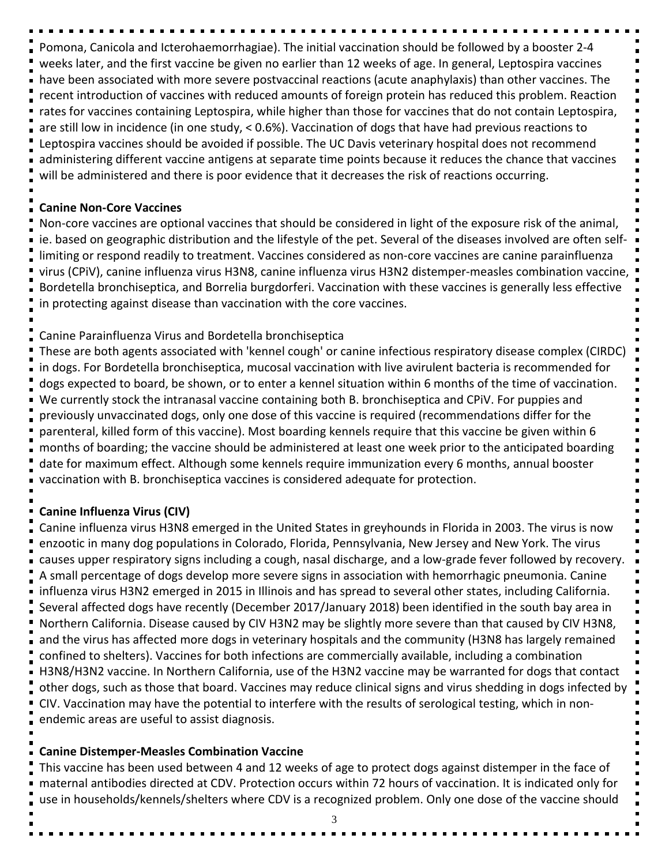Pomona, Canicola and Icterohaemorrhagiae). The initial vaccination should be followed by a booster 2-4 weeks later, and the first vaccine be given no earlier than 12 weeks of age. In general, Leptospira vaccines have been associated with more severe postvaccinal reactions (acute anaphylaxis) than other vaccines. The recent introduction of vaccines with reduced amounts of foreign protein has reduced this problem. Reaction rates for vaccines containing Leptospira, while higher than those for vaccines that do not contain Leptospira, are still low in incidence (in one study, < 0.6%). Vaccination of dogs that have had previous reactions to Leptospira vaccines should be avoided if possible. The UC Davis veterinary hospital does not recommend administering different vaccine antigens at separate time points because it reduces the chance that vaccines will be administered and there is poor evidence that it decreases the risk of reactions occurring.

#### **Canine Non-Core Vaccines**

Non-core vaccines are optional vaccines that should be considered in light of the exposure risk of the animal, ie. based on geographic distribution and the lifestyle of the pet. Several of the diseases involved are often selflimiting or respond readily to treatment. Vaccines considered as non-core vaccines are canine parainfluenza virus (CPiV), canine influenza virus H3N8, canine influenza virus H3N2 distemper-measles combination vaccine, Bordetella bronchiseptica, and Borrelia burgdorferi. Vaccination with these vaccines is generally less effective in protecting against disease than vaccination with the core vaccines.

#### Canine Parainfluenza Virus and Bordetella bronchiseptica

These are both agents associated with 'kennel cough' or canine infectious respiratory disease complex (CIRDC) in dogs. For Bordetella bronchiseptica, mucosal vaccination with live avirulent bacteria is recommended for dogs expected to board, be shown, or to enter a kennel situation within 6 months of the time of vaccination. We currently stock the intranasal vaccine containing both B. bronchiseptica and CPiV. For puppies and previously unvaccinated dogs, only one dose of this vaccine is required (recommendations differ for the parenteral, killed form of this vaccine). Most boarding kennels require that this vaccine be given within 6 months of boarding; the vaccine should be administered at least one week prior to the anticipated boarding date for maximum effect. Although some kennels require immunization every 6 months, annual booster vaccination with B. bronchiseptica vaccines is considered adequate for protection.

### **Canine Influenza Virus (CIV)**

Canine influenza virus H3N8 emerged in the United States in greyhounds in Florida in 2003. The virus is now enzootic in many dog populations in Colorado, Florida, Pennsylvania, New Jersey and New York. The virus causes upper respiratory signs including a cough, nasal discharge, and a low-grade fever followed by recovery. A small percentage of dogs develop more severe signs in association with hemorrhagic pneumonia. Canine influenza virus H3N2 emerged in 2015 in Illinois and has spread to several other states, including California. Several affected dogs have recently (December 2017/January 2018) been identified in the south bay area in Northern California. Disease caused by CIV H3N2 may be slightly more severe than that caused by CIV H3N8, and the virus has affected more dogs in veterinary hospitals and the community (H3N8 has largely remained confined to shelters). Vaccines for both infections are commercially available, including a combination H3N8/H3N2 vaccine. In Northern California, use of the H3N2 vaccine may be warranted for dogs that contact other dogs, such as those that board. Vaccines may reduce clinical signs and virus shedding in dogs infected by CIV. Vaccination may have the potential to interfere with the results of serological testing, which in nonendemic areas are useful to assist diagnosis.

#### **Canine Distemper-Measles Combination Vaccine**

This vaccine has been used between 4 and 12 weeks of age to protect dogs against distemper in the face of maternal antibodies directed at CDV. Protection occurs within 72 hours of vaccination. It is indicated only for use in households/kennels/shelters where CDV is a recognized problem. Only one dose of the vaccine should